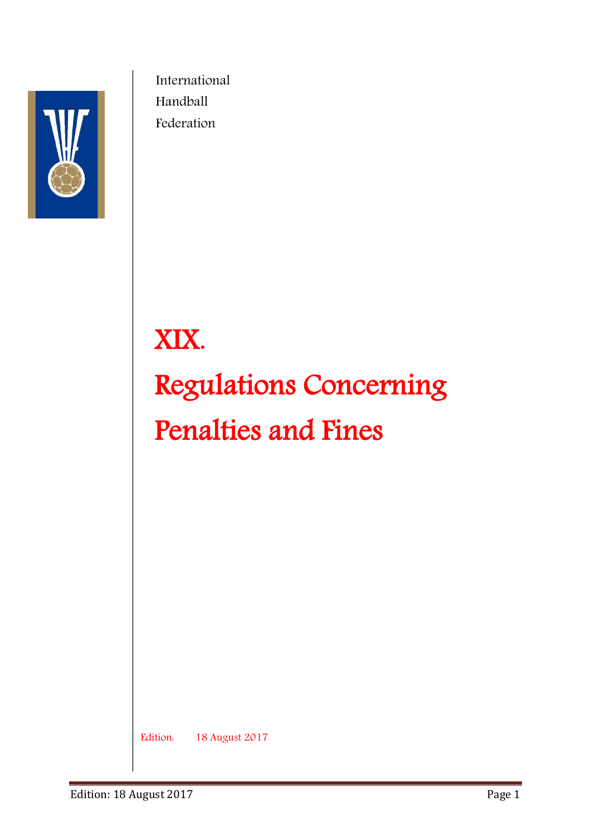

International Handball Federation

# XIX. Regulations Concerning Penalties and Fines

Edition: 18 August 2017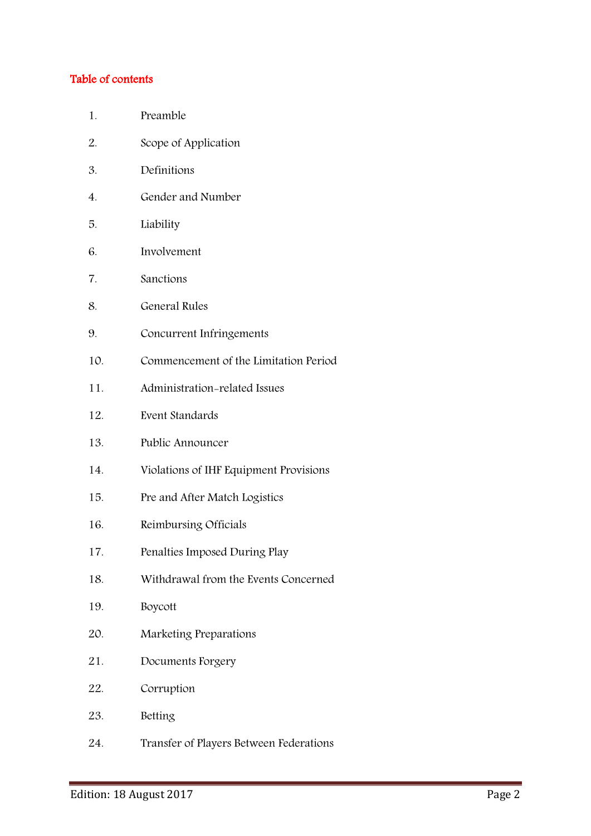#### Table of contents

- 1. Preamble
- 2. Scope of Application
- 3. Definitions
- 4. Gender and Number
- 5. Liability
- 6. Involvement
- 7. Sanctions
- 8. General Rules
- 9. Concurrent Infringements
- 10. Commencement of the Limitation Period
- 11. Administration-related Issues
- 12. Event Standards
- 13. Public Announcer
- 14. Violations of IHF Equipment Provisions
- 15. Pre and After Match Logistics
- 16. Reimbursing Officials
- 17. Penalties Imposed During Play
- 18. Withdrawal from the Events Concerned
- 19. Boycott
- 20. Marketing Preparations
- 21. Documents Forgery
- 22. Corruption
- 23. Betting
- 24. Transfer of Players Between Federations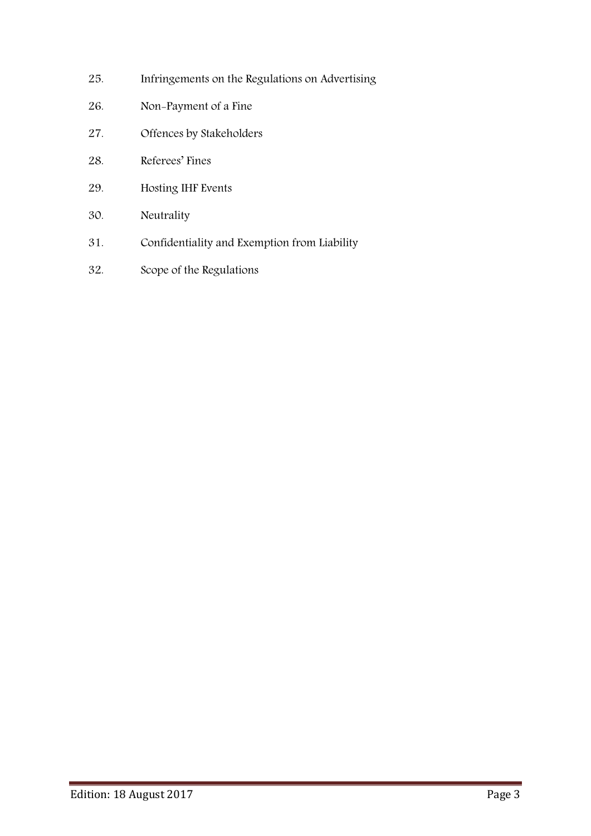- 25. Infringements on the Regulations on Advertising
- 26. Non-Payment of a Fine
- 27. Offences by Stakeholders
- 28. Referees' Fines
- 29. Hosting IHF Events
- 30. Neutrality
- 31. Confidentiality and Exemption from Liability
- 32. Scope of the Regulations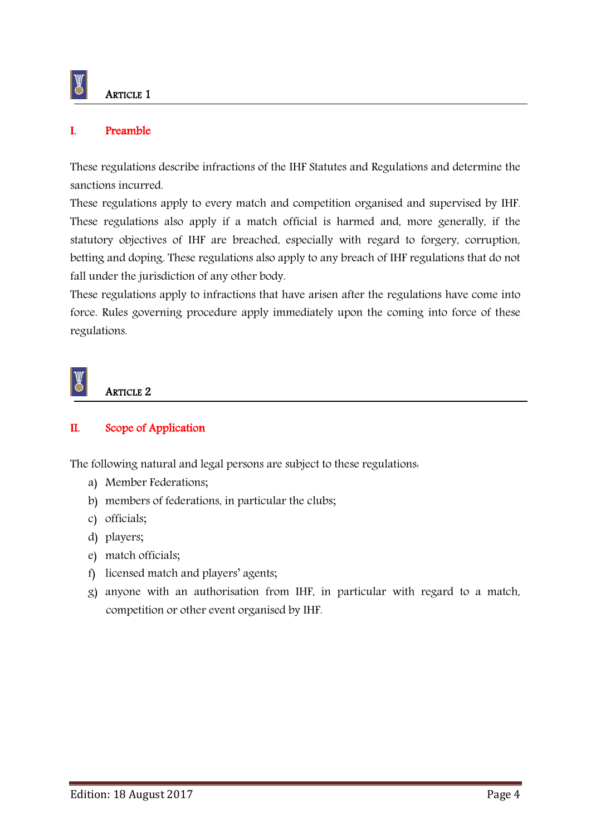

#### I. Preamble

These regulations describe infractions of the IHF Statutes and Regulations and determine the sanctions incurred.

These regulations apply to every match and competition organised and supervised by IHF. These regulations also apply if a match official is harmed and, more generally, if the statutory objectives of IHF are breached, especially with regard to forgery, corruption, betting and doping. These regulations also apply to any breach of IHF regulations that do not fall under the jurisdiction of any other body.

These regulations apply to infractions that have arisen after the regulations have come into force. Rules governing procedure apply immediately upon the coming into force of these regulations.



#### ARTICLE 2

#### II. Scope of Application

The following natural and legal persons are subject to these regulations:

- a) Member Federations;
- b) members of federations, in particular the clubs;
- c) officials;
- d) players;
- e) match officials;
- f) licensed match and players' agents;
- g) anyone with an authorisation from IHF, in particular with regard to a match, competition or other event organised by IHF.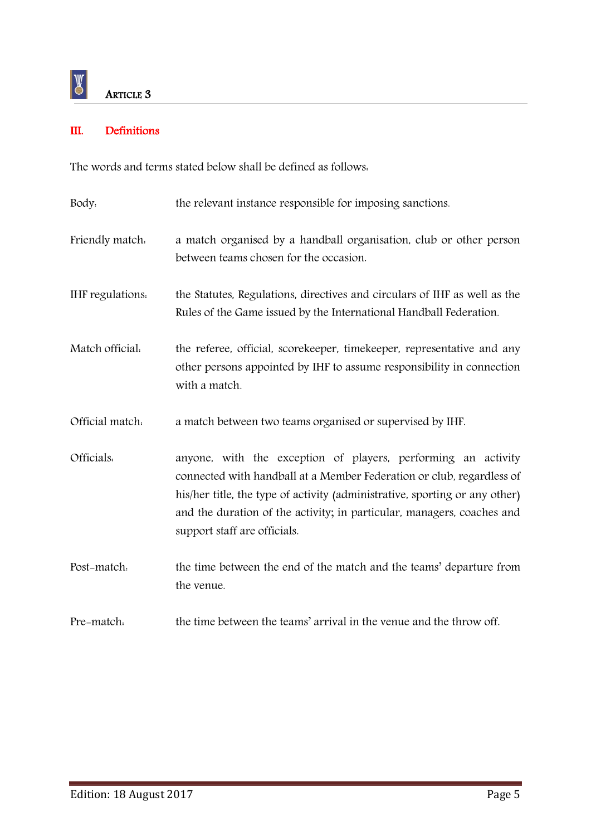#### III. Definitions

The words and terms stated below shall be defined as follows:

| Body.            | the relevant instance responsible for imposing sanctions.                                                                                                                                                                                                                                                                       |  |
|------------------|---------------------------------------------------------------------------------------------------------------------------------------------------------------------------------------------------------------------------------------------------------------------------------------------------------------------------------|--|
| Friendly match.  | a match organised by a handball organisation, club or other person<br>between teams chosen for the occasion.                                                                                                                                                                                                                    |  |
| IHF regulations. | the Statutes, Regulations, directives and circulars of IHF as well as the<br>Rules of the Game issued by the International Handball Federation.                                                                                                                                                                                 |  |
| Match official.  | the referee, official, scorekeeper, timekeeper, representative and any<br>other persons appointed by IHF to assume responsibility in connection<br>with a match.                                                                                                                                                                |  |
| Official match.  | a match between two teams organised or supervised by IHF.                                                                                                                                                                                                                                                                       |  |
| Officials.       | anyone, with the exception of players, performing an activity<br>connected with handball at a Member Federation or club, regardless of<br>his/her title, the type of activity (administrative, sporting or any other)<br>and the duration of the activity; in particular, managers, coaches and<br>support staff are officials. |  |
| Post-match.      | the time between the end of the match and the teams' departure from<br>the venue.                                                                                                                                                                                                                                               |  |
| Pre-match.       | the time between the teams' arrival in the venue and the throw off.                                                                                                                                                                                                                                                             |  |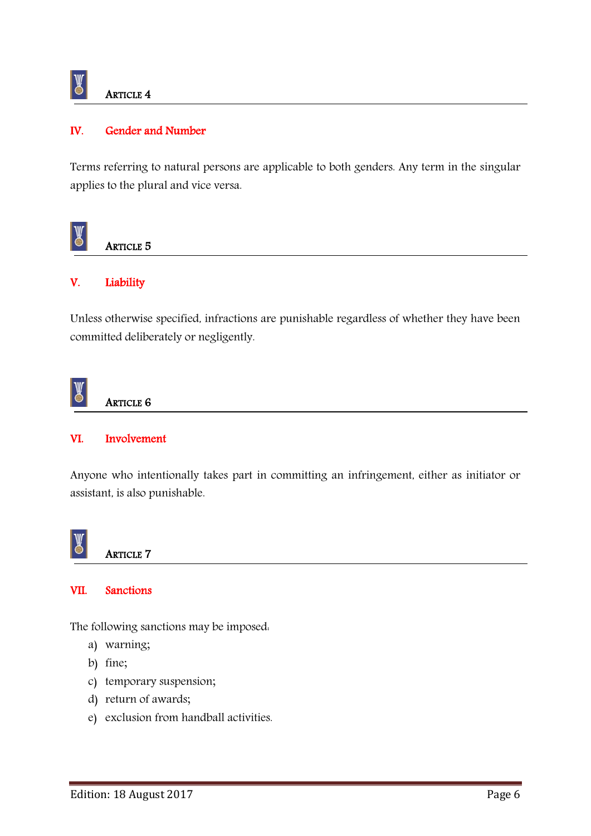

ARTICLE 4

#### IV. Gender and Number

Terms referring to natural persons are applicable to both genders. Any term in the singular applies to the plural and vice versa.



#### ARTICLE 5

#### V. Liability

Unless otherwise specified, infractions are punishable regardless of whether they have been committed deliberately or negligently.

#### $\mathbb{Y}$ ARTICLE 6

#### VI. Involvement

Anyone who intentionally takes part in committing an infringement, either as initiator or assistant, is also punishable.



ARTICLE 7

#### VII. Sanctions

The following sanctions may be imposed:

- a) warning;
- b) fine;
- c) temporary suspension;
- d) return of awards;
- e) exclusion from handball activities.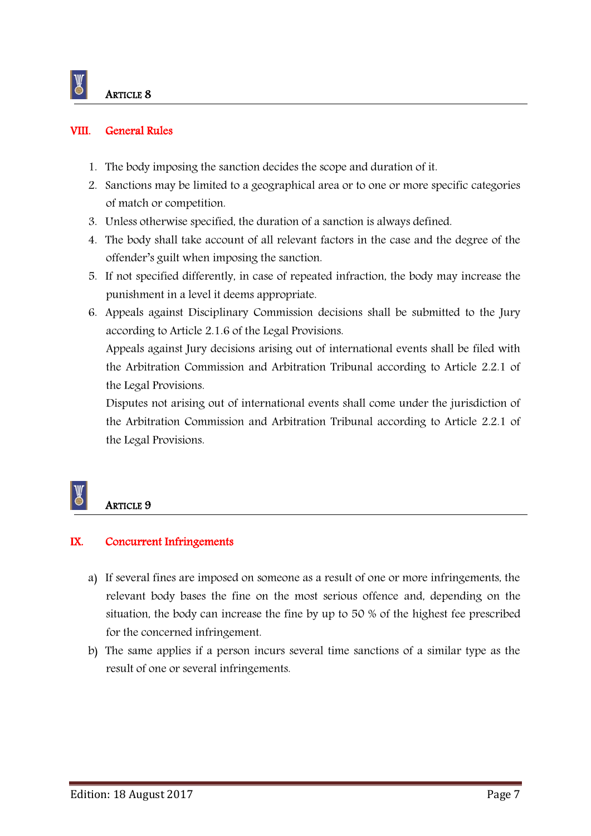#### VIII. General Rules

- 1. The body imposing the sanction decides the scope and duration of it.
- 2. Sanctions may be limited to a geographical area or to one or more specific categories of match or competition.
- 3. Unless otherwise specified, the duration of a sanction is always defined.
- 4. The body shall take account of all relevant factors in the case and the degree of the offender's guilt when imposing the sanction.
- 5. If not specified differently, in case of repeated infraction, the body may increase the punishment in a level it deems appropriate.
- 6. Appeals against Disciplinary Commission decisions shall be submitted to the Jury according to Article 2.1.6 of the Legal Provisions.

Appeals against Jury decisions arising out of international events shall be filed with the Arbitration Commission and Arbitration Tribunal according to Article 2.2.1 of the Legal Provisions.

Disputes not arising out of international events shall come under the jurisdiction of the Arbitration Commission and Arbitration Tribunal according to Article 2.2.1 of the Legal Provisions.

### **ARTICLE 9**

#### IX. Concurrent Infringements

- a) If several fines are imposed on someone as a result of one or more infringements, the relevant body bases the fine on the most serious offence and, depending on the situation, the body can increase the fine by up to 50 % of the highest fee prescribed for the concerned infringement.
- b) The same applies if a person incurs several time sanctions of a similar type as the result of one or several infringements.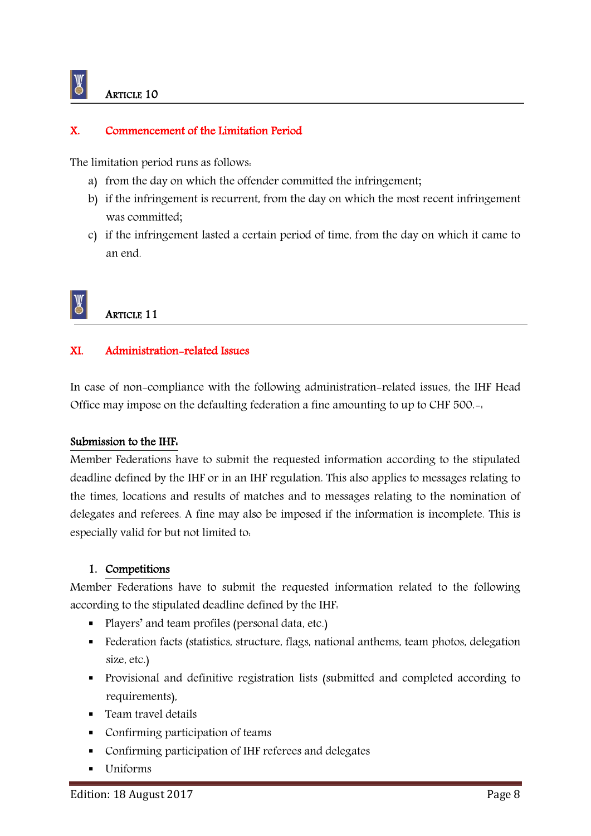#### X. Commencement of the Limitation Period

The limitation period runs as follows:

- a) from the day on which the offender committed the infringement;
- b) if the infringement is recurrent, from the day on which the most recent infringement was committed;
- c) if the infringement lasted a certain period of time, from the day on which it came to an end.

### ARTICLE 11

#### XI. Administration-related Issues

In case of non-compliance with the following administration-related issues, the IHF Head Office may impose on the defaulting federation a fine amounting to up to CHF 500.-:

#### Submission to the IHF:

Member Federations have to submit the requested information according to the stipulated deadline defined by the IHF or in an IHF regulation. This also applies to messages relating to the times, locations and results of matches and to messages relating to the nomination of delegates and referees. A fine may also be imposed if the information is incomplete. This is especially valid for but not limited to:

#### 1. Competitions

Member Federations have to submit the requested information related to the following according to the stipulated deadline defined by the IHF:

- Players' and team profiles (personal data, etc.)
- Federation facts (statistics, structure, flags, national anthems, team photos, delegation size, etc.)
- Provisional and definitive registration lists (submitted and completed according to requirements),
- **Team travel details**
- Confirming participation of teams
- Confirming participation of IHF referees and delegates
- Uniforms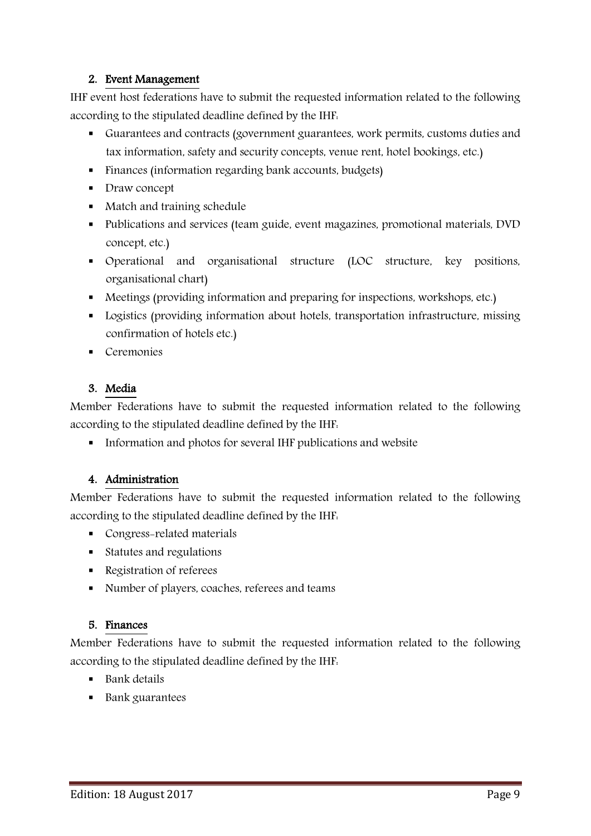#### 2. Event Management

IHF event host federations have to submit the requested information related to the following according to the stipulated deadline defined by the IHF:

- Guarantees and contracts (government guarantees, work permits, customs duties and tax information, safety and security concepts, venue rent, hotel bookings, etc.)
- Finances (information regarding bank accounts, budgets)
- Draw concept
- Match and training schedule
- Publications and services (team guide, event magazines, promotional materials, DVD concept, etc.)
- Operational and organisational structure (LOC structure, key positions, organisational chart)
- Meetings (providing information and preparing for inspections, workshops, etc.)
- **Logistics (providing information about hotels, transportation infrastructure, missing** confirmation of hotels etc.)
- Ceremonies

#### 3. Media

Member Federations have to submit the requested information related to the following according to the stipulated deadline defined by the IHF:

Information and photos for several IHF publications and website

#### 4. Administration

Member Federations have to submit the requested information related to the following according to the stipulated deadline defined by the IHF:

- Congress-related materials
- Statutes and regulations
- Registration of referees
- Number of players, coaches, referees and teams

#### 5. Finances

Member Federations have to submit the requested information related to the following according to the stipulated deadline defined by the IHF:

- **Bank** details
- Bank guarantees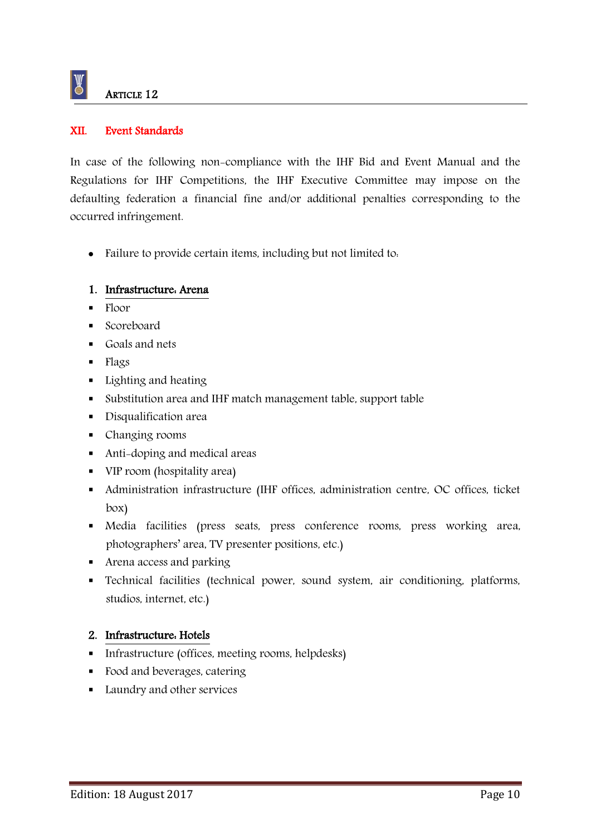

#### XII. Event Standards

In case of the following non-compliance with the IHF Bid and Event Manual and the Regulations for IHF Competitions, the IHF Executive Committee may impose on the defaulting federation a financial fine and/or additional penalties corresponding to the occurred infringement.

• Failure to provide certain items, including but not limited to.

#### 1. Infrastructure: Arena

- $\blacksquare$  Floor
- **Scoreboard**
- Goals and nets
- **Flags**
- **Lighting and heating**
- Substitution area and IHF match management table, support table
- **Disqualification area**
- Changing rooms
- Anti-doping and medical areas
- VIP room (hospitality area)
- Administration infrastructure (IHF offices, administration centre, OC offices, ticket box)
- Media facilities (press seats, press conference rooms, press working area, photographers' area, TV presenter positions, etc.)
- **Arena access and parking**
- Technical facilities (technical power, sound system, air conditioning, platforms, studios, internet, etc.)

#### 2. Infrastructure: Hotels

- Infrastructure (offices, meeting rooms, helpdesks)
- Food and beverages, catering
- **Laundry and other services**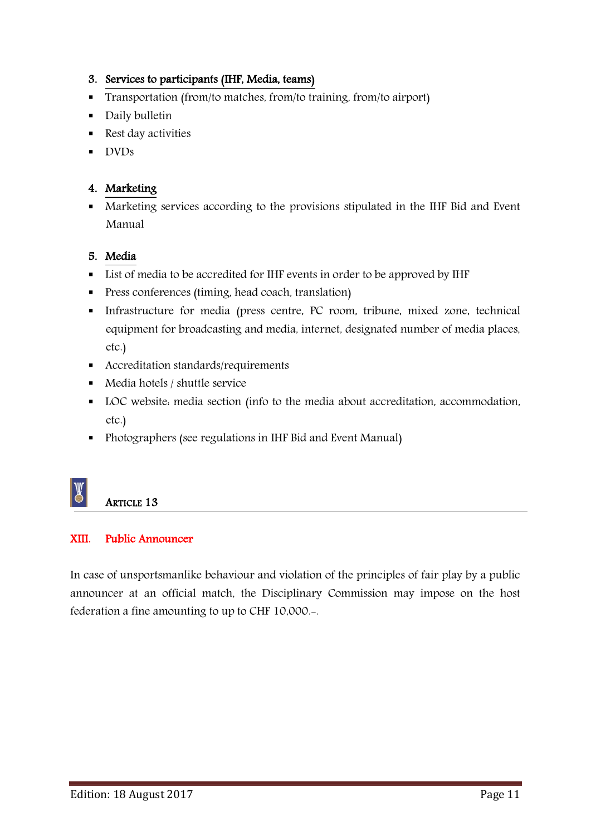#### 3. Services to participants (IHF, Media, teams)

- Transportation (from/to matches, from/to training, from/to airport)
- **Daily bulletin**
- Rest day activities
- **DVDs**

#### 4. Marketing

 Marketing services according to the provisions stipulated in the IHF Bid and Event Manual

#### 5. Media

- List of media to be accredited for IHF events in order to be approved by IHF
- **Press conferences (timing, head coach, translation)**
- Infrastructure for media (press centre, PC room, tribune, mixed zone, technical equipment for broadcasting and media, internet, designated number of media places, etc.)
- Accreditation standards/requirements
- Media hotels / shuttle service
- LOC website: media section (info to the media about accreditation, accommodation, etc.)
- Photographers (see regulations in IHF Bid and Event Manual)

### ARTICLE 13

#### XIII. Public Announcer

In case of unsportsmanlike behaviour and violation of the principles of fair play by a public announcer at an official match, the Disciplinary Commission may impose on the host federation a fine amounting to up to CHF 10,000.-.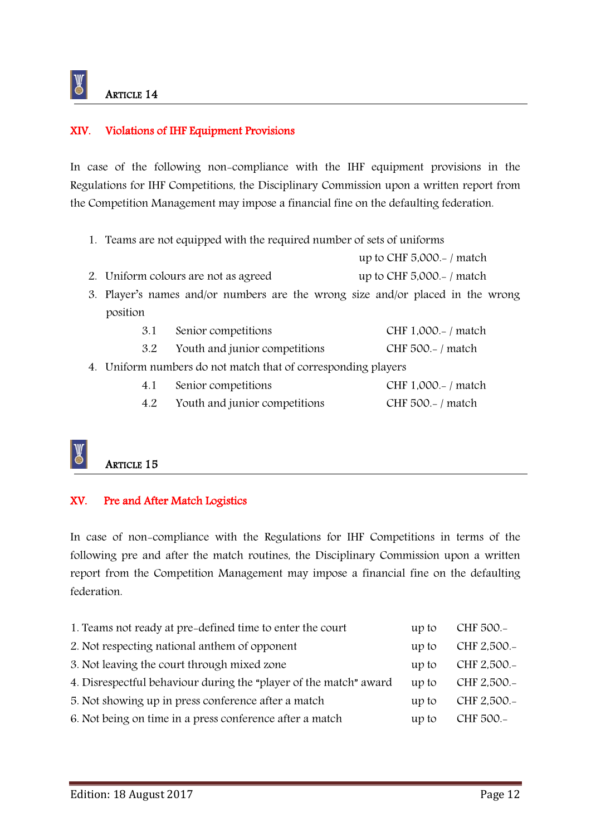$\mathbb{Y}$ 

#### XIV. Violations of IHF Equipment Provisions

In case of the following non-compliance with the IHF equipment provisions in the Regulations for IHF Competitions, the Disciplinary Commission upon a written report from the Competition Management may impose a financial fine on the defaulting federation.

1. Teams are not equipped with the required number of sets of uniforms

up to CHF 5,000.- / match

2. Uniform colours are not as agreed up to CHF 5,000.-/match

3. Player's names and/or numbers are the wrong size and/or placed in the wrong position

| 3.1                                                           | Senior competitions           | CHF 1,000.-/ match         |
|---------------------------------------------------------------|-------------------------------|----------------------------|
| 3.2                                                           | Youth and junior competitions | CHF $500 - / \text{match}$ |
| 4. Uniform numbers do not match that of corresponding players |                               |                            |
| 4.1                                                           | Senior competitions           | CHF 1,000.-/ match         |
| 4.2                                                           | Youth and junior competitions | CHF $500 - / \text{match}$ |
|                                                               |                               |                            |

### ARTICLE 15

#### XV. Pre and After Match Logistics

In case of non-compliance with the Regulations for IHF Competitions in terms of the following pre and after the match routines, the Disciplinary Commission upon a written report from the Competition Management may impose a financial fine on the defaulting federation.

| 1. Teams not ready at pre-defined time to enter the court         | up to | CHF 500.-   |
|-------------------------------------------------------------------|-------|-------------|
| 2. Not respecting national anthem of opponent                     | up to | CHF 2,500.- |
| 3. Not leaving the court through mixed zone                       | up to | CHF 2,500.- |
| 4. Disrespectful behaviour during the "player of the match" award | up to | CHF 2,500.- |
| 5. Not showing up in press conference after a match               | up to | CHF 2,500.- |
| 6. Not being on time in a press conference after a match          | up to | CHF 500.-   |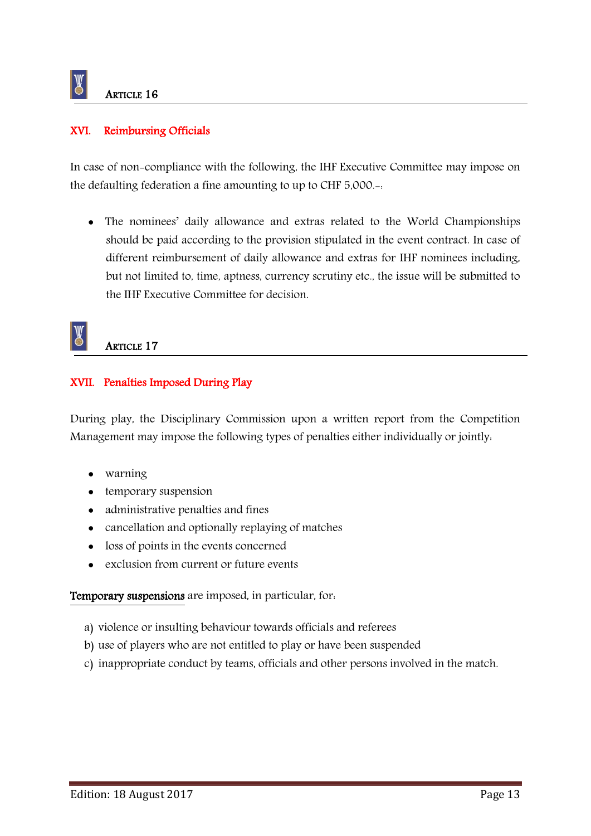#### XVI. Reimbursing Officials

In case of non-compliance with the following, the IHF Executive Committee may impose on the defaulting federation a fine amounting to up to CHF 5,000.-:

 The nominees' daily allowance and extras related to the World Championships should be paid according to the provision stipulated in the event contract. In case of different reimbursement of daily allowance and extras for IHF nominees including, but not limited to, time, aptness, currency scrutiny etc., the issue will be submitted to the IHF Executive Committee for decision.



ARTICLE 17

#### XVII. Penalties Imposed During Play

During play, the Disciplinary Commission upon a written report from the Competition Management may impose the following types of penalties either individually or jointly:

- warning
- temporary suspension
- administrative penalties and fines
- cancellation and optionally replaying of matches
- loss of points in the events concerned
- exclusion from current or future events

Temporary suspensions are imposed, in particular, for:

- a) violence or insulting behaviour towards officials and referees
- b) use of players who are not entitled to play or have been suspended
- c) inappropriate conduct by teams, officials and other persons involved in the match.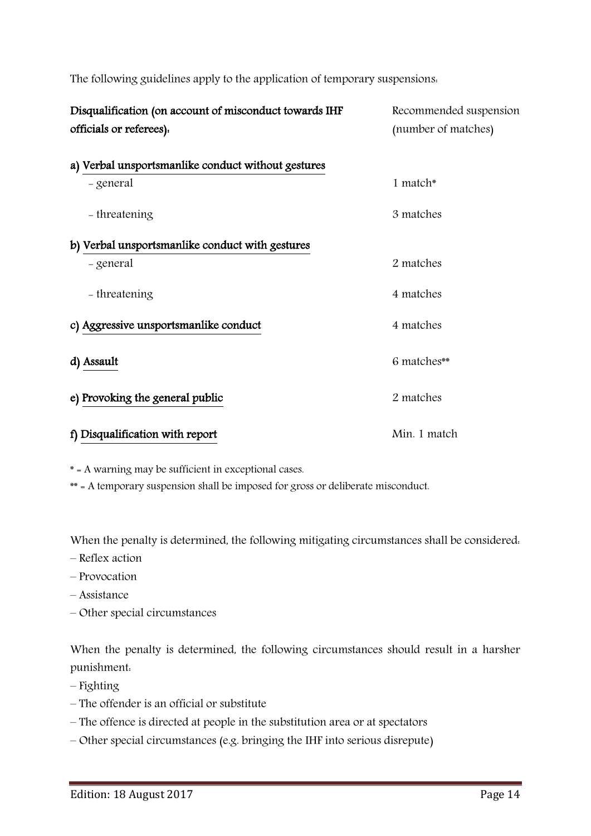| Disqualification (on account of misconduct towards IHF<br>officials or referees). | Recommended suspension<br>(number of matches) |  |
|-----------------------------------------------------------------------------------|-----------------------------------------------|--|
| a) Verbal unsportsmanlike conduct without gestures                                |                                               |  |
| - general                                                                         | 1 match*                                      |  |
| - threatening                                                                     | 3 matches                                     |  |
| b) Verbal unsportsmanlike conduct with gestures                                   |                                               |  |
| - general                                                                         | 2 matches                                     |  |
| - threatening                                                                     | 4 matches                                     |  |
| c) Aggressive unsportsmanlike conduct                                             | 4 matches                                     |  |
| d) Assault                                                                        | 6 matches**                                   |  |
| e) Provoking the general public                                                   | 2 matches                                     |  |
| f) Disqualification with report                                                   | Min. 1 match                                  |  |

The following guidelines apply to the application of temporary suspensions:

\* = A warning may be sufficient in exceptional cases.

\*\* = A temporary suspension shall be imposed for gross or deliberate misconduct.

When the penalty is determined, the following mitigating circumstances shall be considered:

- Reflex action
- Provocation
- Assistance
- Other special circumstances

When the penalty is determined, the following circumstances should result in a harsher punishment:

– Fighting

- The offender is an official or substitute
- The offence is directed at people in the substitution area or at spectators
- Other special circumstances (e.g. bringing the IHF into serious disrepute)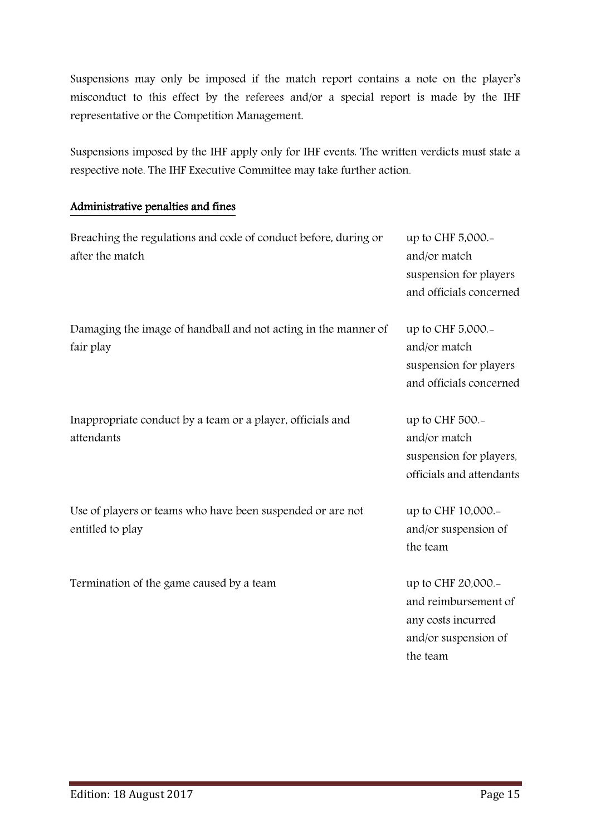Suspensions may only be imposed if the match report contains a note on the player's misconduct to this effect by the referees and/or a special report is made by the IHF representative or the Competition Management.

Suspensions imposed by the IHF apply only for IHF events. The written verdicts must state a respective note. The IHF Executive Committee may take further action.

#### Administrative penalties and fines

| Breaching the regulations and code of conduct before, during or<br>after the match | up to CHF 5,000.-<br>and/or match<br>suspension for players<br>and officials concerned   |
|------------------------------------------------------------------------------------|------------------------------------------------------------------------------------------|
| Damaging the image of handball and not acting in the manner of<br>fair play        | up to CHF 5,000.-<br>and/or match<br>suspension for players<br>and officials concerned   |
| Inappropriate conduct by a team or a player, officials and<br>attendants           | up to CHF 500.-<br>and/or match<br>suspension for players,<br>officials and attendants   |
| Use of players or teams who have been suspended or are not<br>entitled to play     | up to CHF 10,000.-<br>and/or suspension of<br>the team                                   |
| Termination of the game caused by a team                                           | up to CHF 20,000.-<br>and reimbursement of<br>any costs incurred<br>and/or suspension of |

the team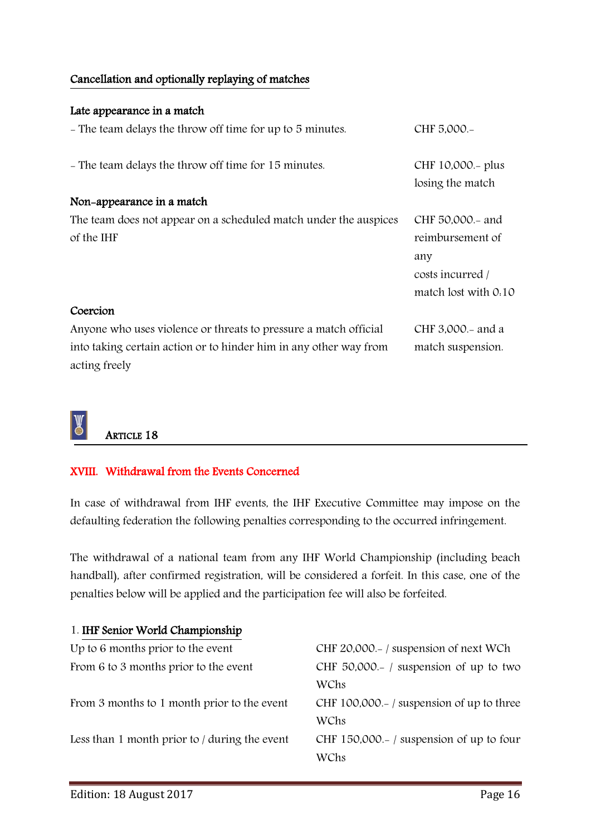#### Cancellation and optionally replaying of matches

| Late appearance in a match                                                         |                                                                     |
|------------------------------------------------------------------------------------|---------------------------------------------------------------------|
| - The team delays the throw off time for up to 5 minutes.                          | CHF 5,000 .-                                                        |
| - The team delays the throw off time for 15 minutes.                               | CHF 10,000.- plus<br>losing the match                               |
| Non-appearance in a match                                                          |                                                                     |
| The team does not appear on a scheduled match under the auspices                   | CHF 50,000 - and                                                    |
| of the IHF                                                                         | reimbursement of<br>any<br>costs incurred /<br>match lost with 0.10 |
| Coercion                                                                           |                                                                     |
| Anyone who uses violence or threats to pressure a match official                   | CHF 3,000.- and a                                                   |
| into taking certain action or to hinder him in any other way from<br>acting freely | match suspension.                                                   |

### ARTICLE 18

#### XVIII. Withdrawal from the Events Concerned

In case of withdrawal from IHF events, the IHF Executive Committee may impose on the defaulting federation the following penalties corresponding to the occurred infringement.

The withdrawal of a national team from any IHF World Championship (including beach handball), after confirmed registration, will be considered a forfeit. In this case, one of the penalties below will be applied and the participation fee will also be forfeited.

| 1. IHF Senior World Championship              |                                              |
|-----------------------------------------------|----------------------------------------------|
| Up to 6 months prior to the event             | CHF 20,000.-/ suspension of next WCh         |
| From 6 to 3 months prior to the event         | CHF $50,000 - /$ suspension of up to two     |
|                                               | WChs                                         |
| From 3 months to 1 month prior to the event   | CHF 100,000. $-$ / suspension of up to three |
|                                               | WChs                                         |
| Less than 1 month prior to / during the event | CHF 150,000.-/ suspension of up to four      |
|                                               | WChs                                         |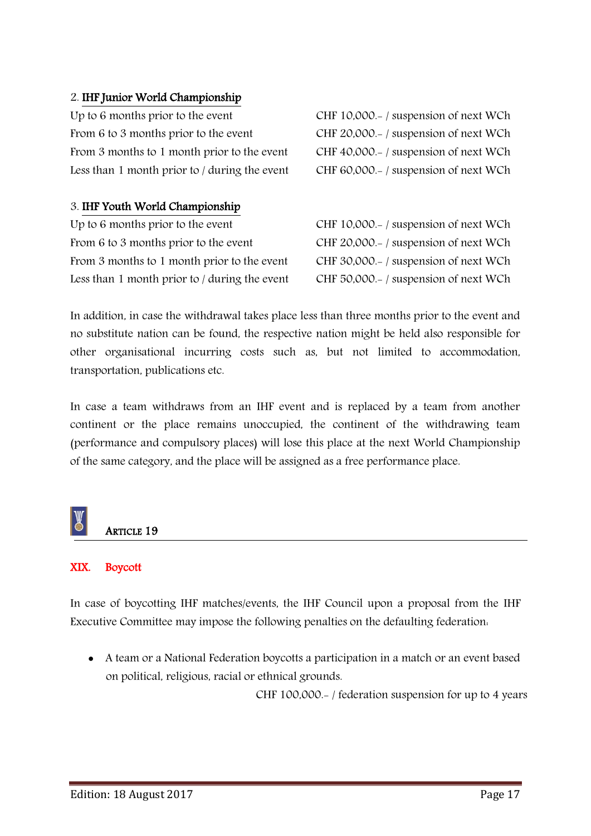#### 2. IHF Junior World Championship

Up to 6 months prior to the event CHF 10,000.- / suspension of next WCh From 6 to 3 months prior to the event CHF 20,000.- / suspension of next WCh From 3 months to 1 month prior to the event CHF 40,000.- / suspension of next WCh Less than 1 month prior to / during the event CHF 60,000.- / suspension of next WCh

#### 3. IHF Youth World Championship

Up to 6 months prior to the event CHF 10,000.-/ suspension of next WCh From 6 to 3 months prior to the event CHF 20,000.-/ suspension of next WCh From 3 months to 1 month prior to the event CHF 30,000.-/ suspension of next WCh Less than 1 month prior to / during the event CHF 50,000.- / suspension of next WCh

In addition, in case the withdrawal takes place less than three months prior to the event and no substitute nation can be found, the respective nation might be held also responsible for other organisational incurring costs such as, but not limited to accommodation, transportation, publications etc.

In case a team withdraws from an IHF event and is replaced by a team from another continent or the place remains unoccupied, the continent of the withdrawing team (performance and compulsory places) will lose this place at the next World Championship of the same category, and the place will be assigned as a free performance place.

### ARTICLE 19

#### XIX. Boycott

In case of boycotting IHF matches/events, the IHF Council upon a proposal from the IHF Executive Committee may impose the following penalties on the defaulting federation:

 A team or a National Federation boycotts a participation in a match or an event based on political, religious, racial or ethnical grounds.

CHF 100,000.- / federation suspension for up to 4 years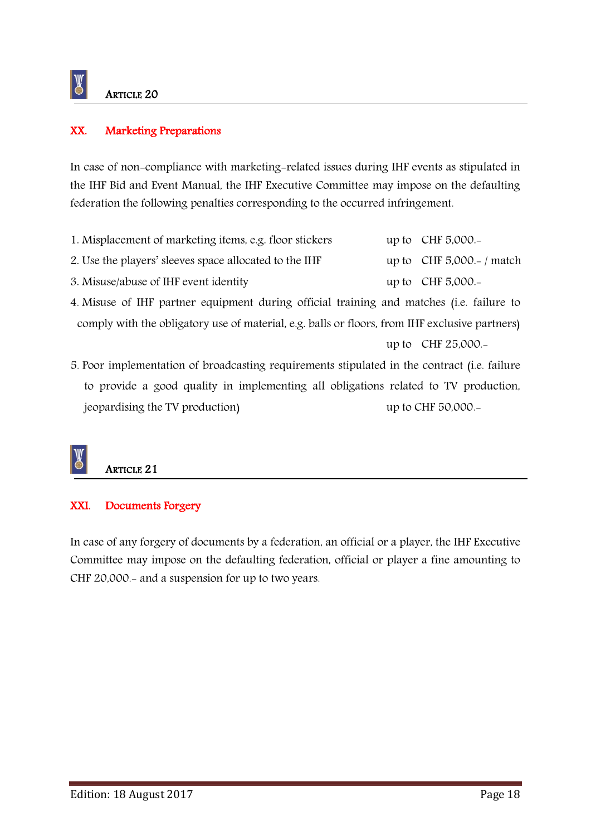#### XX. Marketing Preparations

In case of non-compliance with marketing-related issues during IHF events as stipulated in the IHF Bid and Event Manual, the IHF Executive Committee may impose on the defaulting federation the following penalties corresponding to the occurred infringement.

| 1. Misplacement of marketing items, e.g. floor stickers | up to $CHF 5,000.$                |
|---------------------------------------------------------|-----------------------------------|
| 2. Use the players' sleeves space allocated to the IHF  | up to $CHF 5,000- / \text{match}$ |
| 3. Misuse/abuse of IHF event identity                   | up to $CHF 5,000$ .               |

4. Misuse of IHF partner equipment during official training and matches (i.e. failure to comply with the obligatory use of material, e.g. balls or floors, from IHF exclusive partners)

```
up to CHF 25,000.-
```
5. Poor implementation of broadcasting requirements stipulated in the contract (i.e. failure to provide a good quality in implementing all obligations related to TV production, jeopardising the TV production) up to CHF 50,000.-

### ARTICLE 21

#### XXI. Documents Forgery

In case of any forgery of documents by a federation, an official or a player, the IHF Executive Committee may impose on the defaulting federation, official or player a fine amounting to CHF 20,000.- and a suspension for up to two years.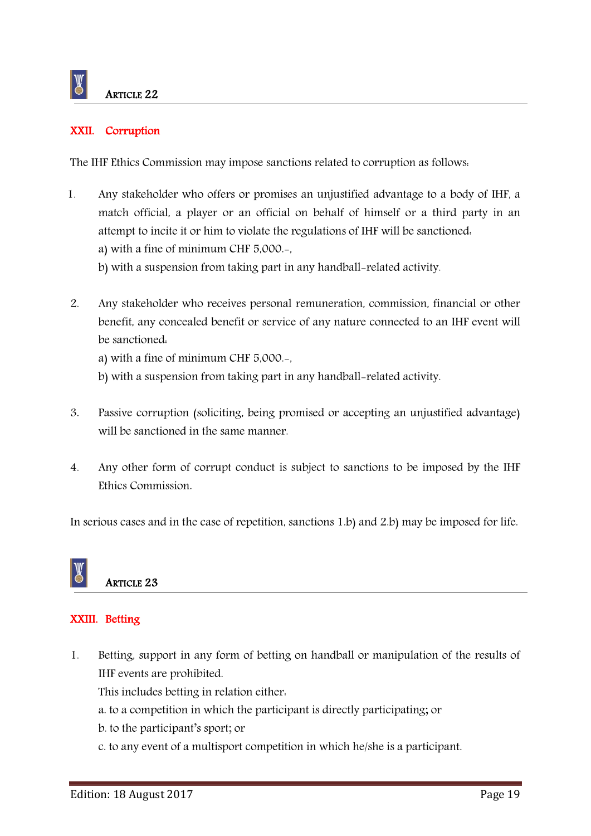#### XXII. Corruption

The IHF Ethics Commission may impose sanctions related to corruption as follows:

- 1. Any stakeholder who offers or promises an unjustified advantage to a body of IHF, a match official, a player or an official on behalf of himself or a third party in an attempt to incite it or him to violate the regulations of IHF will be sanctioned: a) with a fine of minimum CHF 5,000.-,
	- b) with a suspension from taking part in any handball-related activity.
- 2. Any stakeholder who receives personal remuneration, commission, financial or other benefit, any concealed benefit or service of any nature connected to an IHF event will be sanctioned:
	- a) with a fine of minimum CHF 5,000.-,
	- b) with a suspension from taking part in any handball-related activity.
- 3. Passive corruption (soliciting, being promised or accepting an unjustified advantage) will be sanctioned in the same manner.
- 4. Any other form of corrupt conduct is subject to sanctions to be imposed by the IHF Ethics Commission.

In serious cases and in the case of repetition, sanctions 1.b) and 2.b) may be imposed for life.



### ARTICLE 23

#### XXIII. Betting

1. Betting, support in any form of betting on handball or manipulation of the results of IHF events are prohibited.

This includes betting in relation either:

- a. to a competition in which the participant is directly participating; or
- b. to the participant's sport; or
- c. to any event of a multisport competition in which he/she is a participant.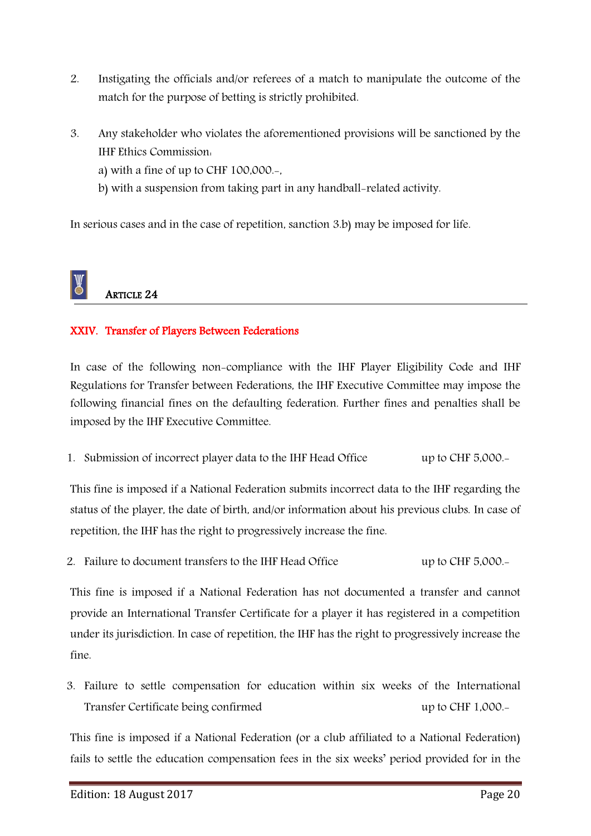- 2. Instigating the officials and/or referees of a match to manipulate the outcome of the match for the purpose of betting is strictly prohibited.
- 3. Any stakeholder who violates the aforementioned provisions will be sanctioned by the IHF Ethics Commission:
	- a) with a fine of up to CHF  $100,000$ .
	- b) with a suspension from taking part in any handball-related activity.

In serious cases and in the case of repetition, sanction 3.b) may be imposed for life.

## ARTICLE 24

#### XXIV. Transfer of Players Between Federations

In case of the following non-compliance with the IHF Player Eligibility Code and IHF Regulations for Transfer between Federations, the IHF Executive Committee may impose the following financial fines on the defaulting federation. Further fines and penalties shall be imposed by the IHF Executive Committee.

1. Submission of incorrect player data to the IHF Head Office up to CHF 5,000.-

This fine is imposed if a National Federation submits incorrect data to the IHF regarding the status of the player, the date of birth, and/or information about his previous clubs. In case of repetition, the IHF has the right to progressively increase the fine.

2. Failure to document transfers to the IHF Head Office up to CHF 5,000.

This fine is imposed if a National Federation has not documented a transfer and cannot provide an International Transfer Certificate for a player it has registered in a competition under its jurisdiction. In case of repetition, the IHF has the right to progressively increase the fine.

3. Failure to settle compensation for education within six weeks of the International Transfer Certificate being confirmed up to CHF 1,000.-

This fine is imposed if a National Federation (or a club affiliated to a National Federation) fails to settle the education compensation fees in the six weeks' period provided for in the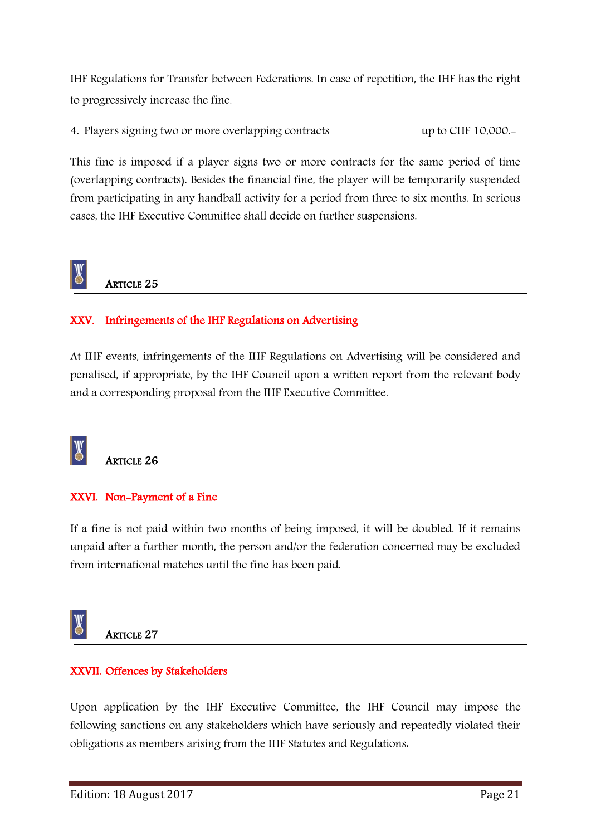IHF Regulations for Transfer between Federations. In case of repetition, the IHF has the right to progressively increase the fine.

4. Players signing two or more overlapping contracts up to CHF 10,000.-

This fine is imposed if a player signs two or more contracts for the same period of time (overlapping contracts). Besides the financial fine, the player will be temporarily suspended from participating in any handball activity for a period from three to six months. In serious cases, the IHF Executive Committee shall decide on further suspensions.

### ARTICLE 25

#### XXV. Infringements of the IHF Regulations on Advertising

At IHF events, infringements of the IHF Regulations on Advertising will be considered and penalised, if appropriate, by the IHF Council upon a written report from the relevant body and a corresponding proposal from the IHF Executive Committee.



ARTICLE 26

#### XXVI. Non-Payment of a Fine

If a fine is not paid within two months of being imposed, it will be doubled. If it remains unpaid after a further month, the person and/or the federation concerned may be excluded from international matches until the fine has been paid.



ARTICLE 27

#### XXVII. Offences by Stakeholders

Upon application by the IHF Executive Committee, the IHF Council may impose the following sanctions on any stakeholders which have seriously and repeatedly violated their obligations as members arising from the IHF Statutes and Regulations: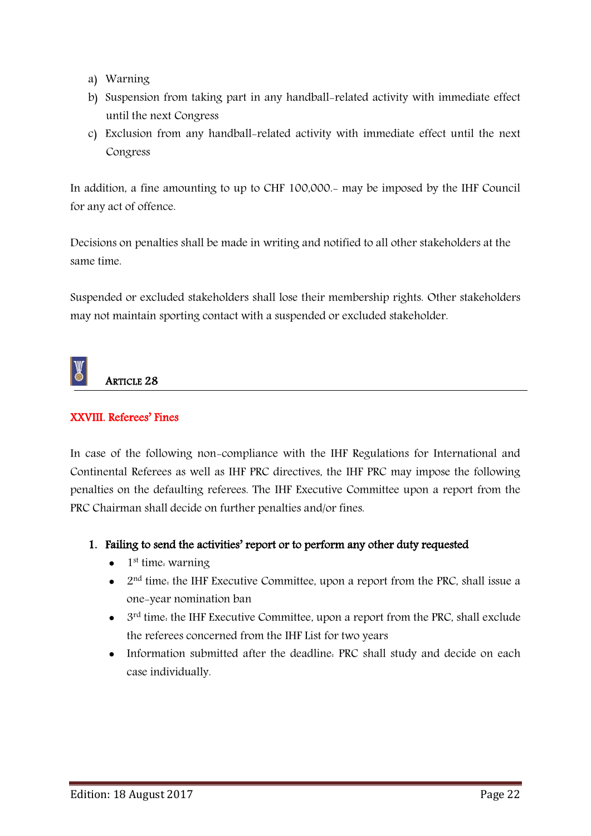- a) Warning
- b) Suspension from taking part in any handball-related activity with immediate effect until the next Congress
- c) Exclusion from any handball-related activity with immediate effect until the next Congress

In addition, a fine amounting to up to CHF 100,000.- may be imposed by the IHF Council for any act of offence.

Decisions on penalties shall be made in writing and notified to all other stakeholders at the same time.

Suspended or excluded stakeholders shall lose their membership rights. Other stakeholders may not maintain sporting contact with a suspended or excluded stakeholder.



#### XXVIII. Referees' Fines

In case of the following non-compliance with the IHF Regulations for International and Continental Referees as well as IHF PRC directives, the IHF PRC may impose the following penalties on the defaulting referees. The IHF Executive Committee upon a report from the PRC Chairman shall decide on further penalties and/or fines.

- 1. Failing to send the activities' report or to perform any other duty requested
	- $\bullet$  1<sup>st</sup> time. warning
	- $\bullet$  2<sup>nd</sup> time. the IHF Executive Committee, upon a report from the PRC, shall issue a one-year nomination ban
	- $\bullet$  3<sup>rd</sup> time. the IHF Executive Committee, upon a report from the PRC, shall exclude the referees concerned from the IHF List for two years
	- Information submitted after the deadline. PRC shall study and decide on each case individually.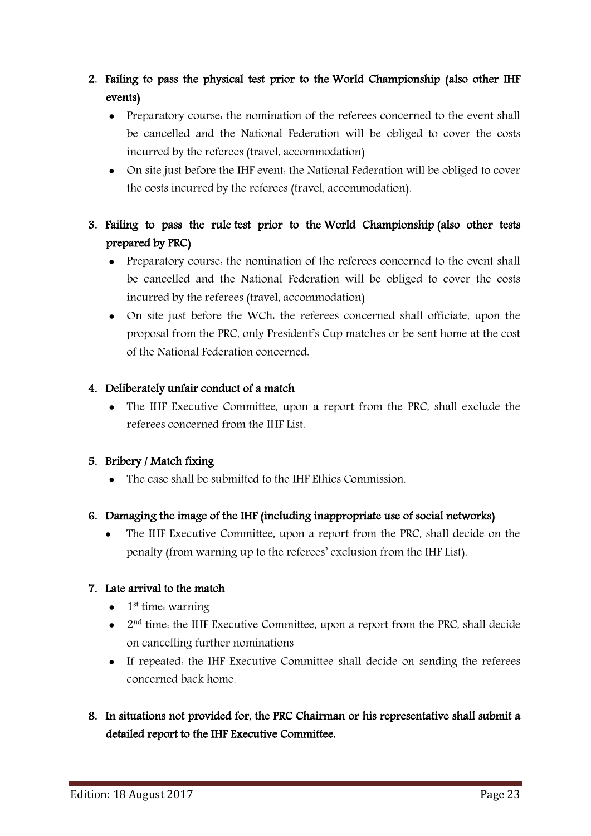- 2. Failing to pass the physical test prior to the World Championship (also other IHF events)
	- Preparatory course, the nomination of the referees concerned to the event shall be cancelled and the National Federation will be obliged to cover the costs incurred by the referees (travel, accommodation)
	- On site just before the IHF event: the National Federation will be obliged to cover the costs incurred by the referees (travel, accommodation).
- 3. Failing to pass the rule test prior to the World Championship (also other tests prepared by PRC)
	- Preparatory course: the nomination of the referees concerned to the event shall be cancelled and the National Federation will be obliged to cover the costs incurred by the referees (travel, accommodation)
	- On site just before the WCh: the referees concerned shall officiate, upon the proposal from the PRC, only President's Cup matches or be sent home at the cost of the National Federation concerned.

#### 4. Deliberately unfair conduct of a match

 The IHF Executive Committee, upon a report from the PRC, shall exclude the referees concerned from the IHF List.

#### 5. Bribery / Match fixing

The case shall be submitted to the IHF Ethics Commission.

#### 6. Damaging the image of the IHF (including inappropriate use of social networks)

• The IHF Executive Committee, upon a report from the PRC, shall decide on the penalty (from warning up to the referees' exclusion from the IHF List).

#### 7. Late arrival to the match

- $\bullet$  1<sup>st</sup> time. warning
- $\bullet$  2<sup>nd</sup> time. the IHF Executive Committee, upon a report from the PRC, shall decide on cancelling further nominations
- If repeated: the IHF Executive Committee shall decide on sending the referees concerned back home.

### 8. In situations not provided for, the PRC Chairman or his representative shall submit a detailed report to the IHF Executive Committee.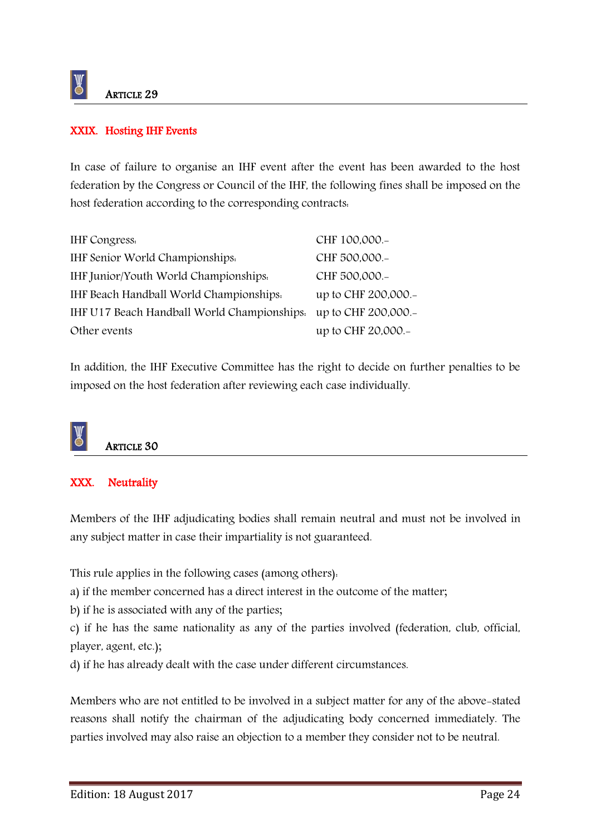#### XXIX. Hosting IHF Events

In case of failure to organise an IHF event after the event has been awarded to the host federation by the Congress or Council of the IHF, the following fines shall be imposed on the host federation according to the corresponding contracts:

| <b>IHF</b> Congress.                        | CHF 100,000 .-      |
|---------------------------------------------|---------------------|
| IHF Senior World Championships.             | CHF 500,000.-       |
| IHF Junior/Youth World Championships.       | CHF 500,000.-       |
| IHF Beach Handball World Championships.     | up to CHF 200,000.- |
| IHF U17 Beach Handball World Championships. | up to CHF 200,000.- |
| Other events                                | up to CHF 20,000.-  |

In addition, the IHF Executive Committee has the right to decide on further penalties to be imposed on the host federation after reviewing each case individually.



ARTICLE 30

#### XXX. Neutrality

Members of the IHF adjudicating bodies shall remain neutral and must not be involved in any subject matter in case their impartiality is not guaranteed.

This rule applies in the following cases (among others):

a) if the member concerned has a direct interest in the outcome of the matter;

b) if he is associated with any of the parties;

c) if he has the same nationality as any of the parties involved (federation, club, official, player, agent, etc.);

d) if he has already dealt with the case under different circumstances.

Members who are not entitled to be involved in a subject matter for any of the above-stated reasons shall notify the chairman of the adjudicating body concerned immediately. The parties involved may also raise an objection to a member they consider not to be neutral.